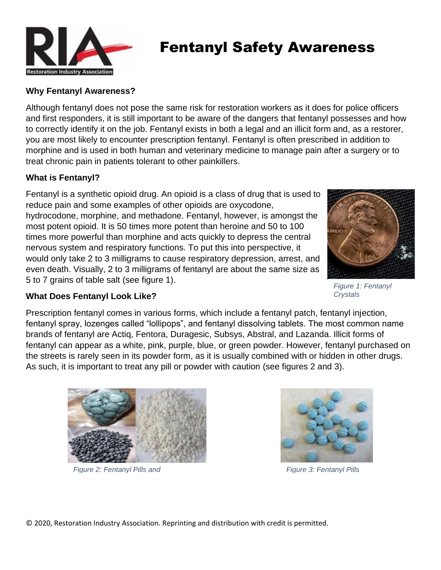

# Fentanyl Safety Awareness

## **Why Fentanyl Awareness?**

Although fentanyl does not pose the same risk for restoration workers as it does for police officers and first responders, it is still important to be aware of the dangers that fentanyl possesses and how to correctly identify it on the job. Fentanyl exists in both a legal and an illicit form and, as a restorer, you are most likely to encounter prescription fentanyl. Fentanyl is often prescribed in addition to morphine and is used in both human and veterinary medicine to manage pain after a surgery or to treat chronic pain in patients tolerant to other painkillers.

#### **What is Fentanyl?**

Fentanyl is a synthetic opioid drug. An opioid is a class of drug that is used to reduce pain and some examples of other opioids are oxycodone, hydrocodone, morphine, and methadone. Fentanyl, however, is amongst the most potent opioid. It is 50 times more potent than heroine and 50 to 100 times more powerful than morphine and acts quickly to depress the central nervous system and respiratory functions. To put this into perspective, it would only take 2 to 3 milligrams to cause respiratory depression, arrest, and even death. Visually, 2 to 3 milligrams of fentanyl are about the same size as 5 to 7 grains of table salt (see figure 1).



*Figure 1: Fentanyl Crystals*

## **What Does Fentanyl Look Like?**

Prescription fentanyl comes in various forms, which include a fentanyl patch, fentanyl injection, fentanyl spray, lozenges called "lollipops", and fentanyl dissolving tablets. The most common name brands of fentanyl are Actiq, Fentora, Duragesic, Subsys, Abstral, and Lazanda. Illicit forms of fentanyl can appear as a white, pink, purple, blue, or green powder. However, fentanyl purchased on the streets is rarely seen in its powder form, as it is usually combined with or hidden in other drugs. As such, it is important to treat any pill or powder with caution (see figures 2 and 3).



*Figure 2: Fentanyl Pills and* 



*Figure 3: Fentanyl Pills* 

© 2020, Restoration Industry Association. Reprinting and distribution with credit is permitted.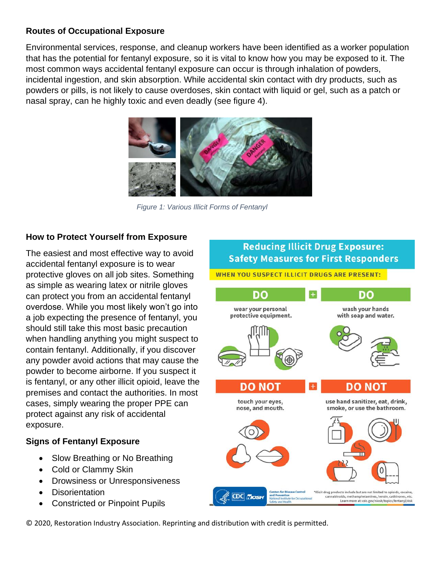## **Routes of Occupational Exposure**

Environmental services, response, and cleanup workers have been identified as a worker population that has the potential for fentanyl exposure, so it is vital to know how you may be exposed to it. The most common ways accidental fentanyl exposure can occur is through inhalation of powders, incidental ingestion, and skin absorption. While accidental skin contact with dry products, such as powders or pills, is not likely to cause overdoses, skin contact with liquid or gel, such as a patch or nasal spray, can he highly toxic and even deadly (see figure 4).



*Figure 1: Various Illicit Forms of Fentanyl* 

## **How to Protect Yourself from Exposure**

The easiest and most effective way to avoid accidental fentanyl exposure is to wear protective gloves on all job sites. Something as simple as wearing latex or nitrile gloves can protect you from an accidental fentanyl overdose. While you most likely won't go into a job expecting the presence of fentanyl, you should still take this most basic precaution when handling anything you might suspect to contain fentanyl. Additionally, if you discover any powder avoid actions that may cause the powder to become airborne. If you suspect it is fentanyl, or any other illicit opioid, leave the premises and contact the authorities. In most cases, simply wearing the proper PPE can protect against any risk of accidental exposure.

#### **Signs of Fentanyl Exposure**

- Slow Breathing or No Breathing
- Cold or Clammy Skin
- Drowsiness or Unresponsiveness
- Disorientation
- Constricted or Pinpoint Pupils



© 2020, Restoration Industry Association. Reprinting and distribution with credit is permitted.